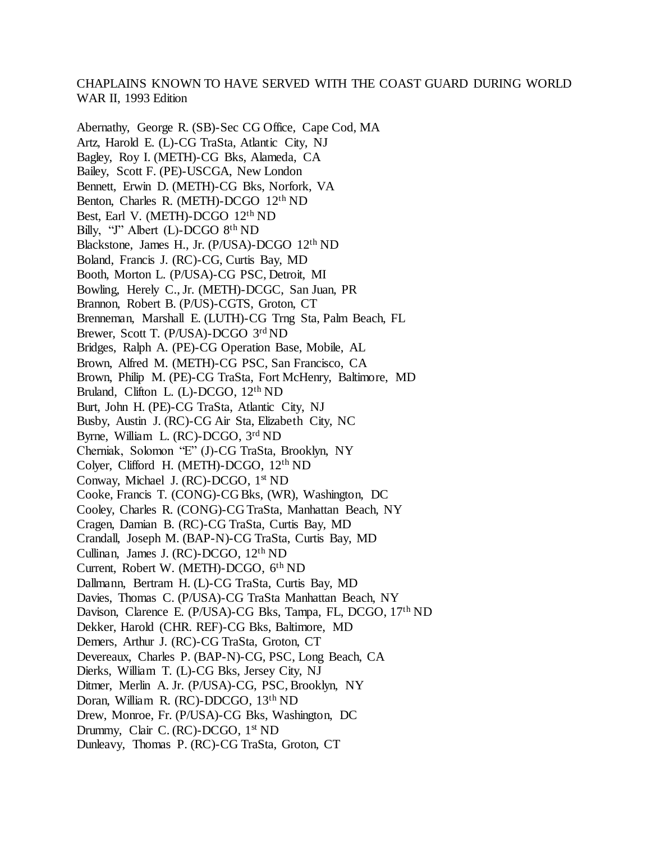## CHAPLAINS KNOWN TO HAVE SERVED WITH THE COAST GUARD DURING WORLD WAR II, 1993 Edition

Abernathy, George R. (SB)-Sec CG Office, Cape Cod, MA Artz, Harold E. (L)-CG TraSta, Atlantic City, NJ Bagley, Roy I. (METH)-CG Bks, Alameda, CA Bailey, Scott F. (PE)-USCGA, New London Bennett, Erwin D. (METH)-CG Bks, Norfork, VA Benton, Charles R. (METH)-DCGO 12th ND Best, Earl V. (METH)-DCGO 12th ND Billy, "J" Albert (L)-DCGO 8<sup>th</sup> ND Blackstone, James H., Jr. (P/USA)-DCGO 12th ND Boland, Francis J. (RC)-CG, Curtis Bay, MD Booth, Morton L. (P/USA)-CG PSC, Detroit, MI Bowling, Herely C., Jr. (METH)-DCGC, San Juan, PR Brannon, Robert B. (P/US)-CGTS, Groton, CT Brenneman, Marshall E. (LUTH)-CG Trng Sta, Palm Beach, FL Brewer, Scott T. (P/USA)-DCGO 3rd ND Bridges, Ralph A. (PE)-CG Operation Base, Mobile, AL Brown, Alfred M. (METH)-CG PSC, San Francisco, CA Brown, Philip M. (PE)-CG TraSta, Fort McHenry, Baltimore, MD Bruland, Clifton L. (L)-DCGO, 12th ND Burt, John H. (PE)-CG TraSta, Atlantic City, NJ Busby, Austin J. (RC)-CG Air Sta, Elizabeth City, NC Byrne, William L. (RC)-DCGO, 3rd ND Cherniak, Solomon "E" (J)-CG TraSta, Brooklyn, NY Colyer, Clifford H. (METH)-DCGO, 12th ND Conway, Michael J. (RC)-DCGO, 1st ND Cooke, Francis T. (CONG)-CG Bks, (WR), Washington, DC Cooley, Charles R. (CONG)-CG TraSta, Manhattan Beach, NY Cragen, Damian B. (RC)-CG TraSta, Curtis Bay, MD Crandall, Joseph M. (BAP-N)-CG TraSta, Curtis Bay, MD Cullinan, James J. (RC)-DCGO, 12th ND Current, Robert W. (METH)-DCGO, 6th ND Dallmann, Bertram H. (L)-CG TraSta, Curtis Bay, MD Davies, Thomas C. (P/USA)-CG TraSta Manhattan Beach, NY Davison, Clarence E. (P/USA)-CG Bks, Tampa, FL, DCGO, 17<sup>th</sup> ND Dekker, Harold (CHR. REF)-CG Bks, Baltimore, MD Demers, Arthur J. (RC)-CG TraSta, Groton, CT Devereaux, Charles P. (BAP-N)-CG, PSC, Long Beach, CA Dierks, William T. (L)-CG Bks, Jersey City, NJ Ditmer, Merlin A. Jr. (P/USA)-CG, PSC, Brooklyn, NY Doran, William R. (RC)-DDCGO, 13th ND Drew, Monroe, Fr. (P/USA)-CG Bks, Washington, DC Drummy, Clair C. (RC)-DCGO, 1<sup>st</sup> ND Dunleavy, Thomas P. (RC)-CG TraSta, Groton, CT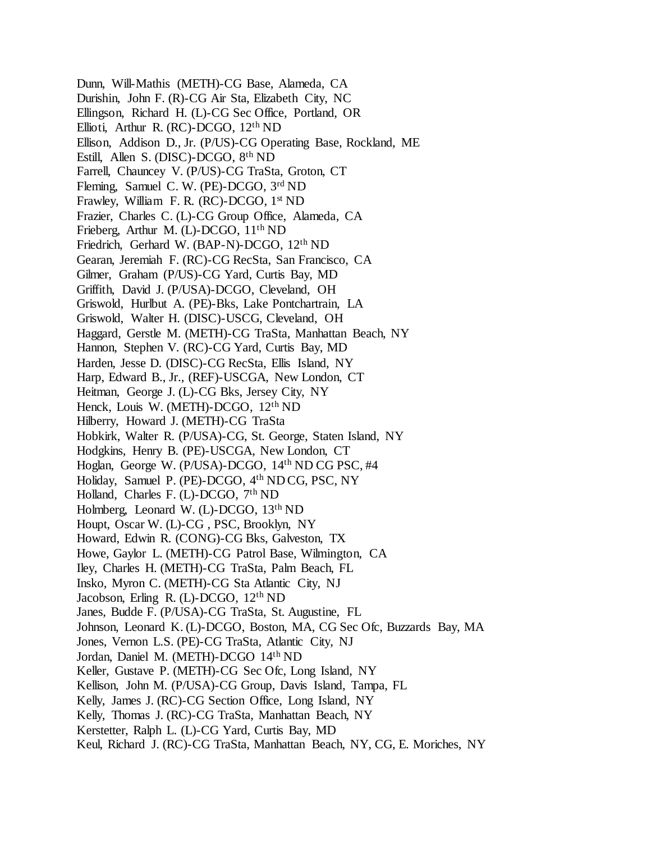Dunn, Will-Mathis (METH)-CG Base, Alameda, CA Durishin, John F. (R)-CG Air Sta, Elizabeth City, NC Ellingson, Richard H. (L)-CG Sec Office, Portland, OR Ellioti, Arthur R. (RC)-DCGO, 12th ND Ellison, Addison D., Jr. (P/US)-CG Operating Base, Rockland, ME Estill, Allen S. (DISC)-DCGO, 8th ND Farrell, Chauncey V. (P/US)-CG TraSta, Groton, CT Fleming, Samuel C. W. (PE)-DCGO, 3rd ND Frawley, William F. R. (RC)-DCGO, 1<sup>st</sup> ND Frazier, Charles C. (L)-CG Group Office, Alameda, CA Frieberg, Arthur M. (L)-DCGO, 11th ND Friedrich, Gerhard W. (BAP-N)-DCGO, 12th ND Gearan, Jeremiah F. (RC)-CG RecSta, San Francisco, CA Gilmer, Graham (P/US)-CG Yard, Curtis Bay, MD Griffith, David J. (P/USA)-DCGO, Cleveland, OH Griswold, Hurlbut A. (PE)-Bks, Lake Pontchartrain, LA Griswold, Walter H. (DISC)-USCG, Cleveland, OH Haggard, Gerstle M. (METH)-CG TraSta, Manhattan Beach, NY Hannon, Stephen V. (RC)-CG Yard, Curtis Bay, MD Harden, Jesse D. (DISC)-CG RecSta, Ellis Island, NY Harp, Edward B., Jr., (REF)-USCGA, New London, CT Heitman, George J. (L)-CG Bks, Jersey City, NY Henck, Louis W. (METH)-DCGO, 12th ND Hilberry, Howard J. (METH)-CG TraSta Hobkirk, Walter R. (P/USA)-CG, St. George, Staten Island, NY Hodgkins, Henry B. (PE)-USCGA, New London, CT Hoglan, George W. (P/USA)-DCGO, 14th ND CG PSC, #4 Holiday, Samuel P. (PE)-DCGO, 4th ND CG, PSC, NY Holland, Charles F. (L)-DCGO, 7<sup>th</sup> ND Holmberg, Leonard W. (L)-DCGO, 13th ND Houpt, Oscar W. (L)-CG , PSC, Brooklyn, NY Howard, Edwin R. (CONG)-CG Bks, Galveston, TX Howe, Gaylor L. (METH)-CG Patrol Base, Wilmington, CA Iley, Charles H. (METH)-CG TraSta, Palm Beach, FL Insko, Myron C. (METH)-CG Sta Atlantic City, NJ Jacobson, Erling R. (L)-DCGO, 12th ND Janes, Budde F. (P/USA)-CG TraSta, St. Augustine, FL Johnson, Leonard K. (L)-DCGO, Boston, MA, CG Sec Ofc, Buzzards Bay, MA Jones, Vernon L.S. (PE)-CG TraSta, Atlantic City, NJ Jordan, Daniel M. (METH)-DCGO 14th ND Keller, Gustave P. (METH)-CG Sec Ofc, Long Island, NY Kellison, John M. (P/USA)-CG Group, Davis Island, Tampa, FL Kelly, James J. (RC)-CG Section Office, Long Island, NY Kelly, Thomas J. (RC)-CG TraSta, Manhattan Beach, NY Kerstetter, Ralph L. (L)-CG Yard, Curtis Bay, MD Keul, Richard J. (RC)-CG TraSta, Manhattan Beach, NY, CG, E. Moriches, NY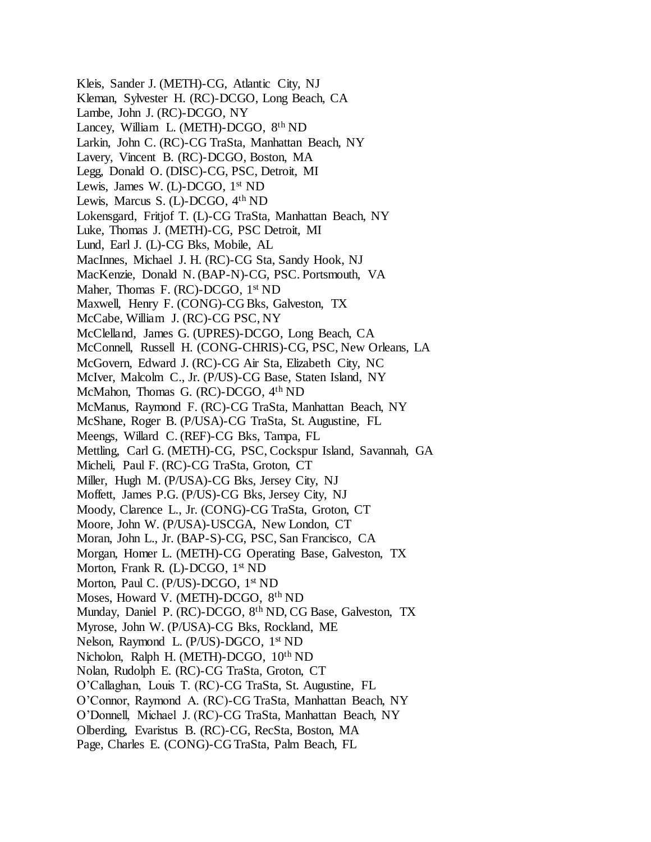Kleis, Sander J. (METH)-CG, Atlantic City, NJ Kleman, Sylvester H. (RC)-DCGO, Long Beach, CA Lambe, John J. (RC)-DCGO, NY Lancey, William L. (METH)-DCGO, 8th ND Larkin, John C. (RC)-CG TraSta, Manhattan Beach, NY Lavery, Vincent B. (RC)-DCGO, Boston, MA Legg, Donald O. (DISC)-CG, PSC, Detroit, MI Lewis, James W. (L)-DCGO, 1st ND Lewis, Marcus S. (L)-DCGO, 4th ND Lokensgard, Fritjof T. (L)-CG TraSta, Manhattan Beach, NY Luke, Thomas J. (METH)-CG, PSC Detroit, MI Lund, Earl J. (L)-CG Bks, Mobile, AL MacInnes, Michael J. H. (RC)-CG Sta, Sandy Hook, NJ MacKenzie, Donald N. (BAP-N)-CG, PSC. Portsmouth, VA Maher, Thomas F. (RC)-DCGO, 1<sup>st</sup> ND Maxwell, Henry F. (CONG)-CG Bks, Galveston, TX McCabe, William J. (RC)-CG PSC, NY McClelland, James G. (UPRES)-DCGO, Long Beach, CA McConnell, Russell H. (CONG-CHRIS)-CG, PSC, New Orleans, LA McGovern, Edward J. (RC)-CG Air Sta, Elizabeth City, NC McIver, Malcolm C., Jr. (P/US)-CG Base, Staten Island, NY McMahon, Thomas G. (RC)-DCGO, 4th ND McManus, Raymond F. (RC)-CG TraSta, Manhattan Beach, NY McShane, Roger B. (P/USA)-CG TraSta, St. Augustine, FL Meengs, Willard C. (REF)-CG Bks, Tampa, FL Mettling, Carl G. (METH)-CG, PSC, Cockspur Island, Savannah, GA Micheli, Paul F. (RC)-CG TraSta, Groton, CT Miller, Hugh M. (P/USA)-CG Bks, Jersey City, NJ Moffett, James P.G. (P/US)-CG Bks, Jersey City, NJ Moody, Clarence L., Jr. (CONG)-CG TraSta, Groton, CT Moore, John W. (P/USA)-USCGA, New London, CT Moran, John L., Jr. (BAP-S)-CG, PSC, San Francisco, CA Morgan, Homer L. (METH)-CG Operating Base, Galveston, TX Morton, Frank R. (L)-DCGO, 1<sup>st</sup> ND Morton, Paul C. (P/US)-DCGO, 1<sup>st</sup> ND Moses, Howard V. (METH)-DCGO, 8th ND Munday, Daniel P. (RC)-DCGO, 8th ND, CG Base, Galveston, TX Myrose, John W. (P/USA)-CG Bks, Rockland, ME Nelson, Raymond L. (P/US)-DGCO, 1st ND Nicholon, Ralph H. (METH)-DCGO, 10th ND Nolan, Rudolph E. (RC)-CG TraSta, Groton, CT O'Callaghan, Louis T. (RC)-CG TraSta, St. Augustine, FL O'Connor, Raymond A. (RC)-CG TraSta, Manhattan Beach, NY O'Donnell, Michael J. (RC)-CG TraSta, Manhattan Beach, NY Olberding, Evaristus B. (RC)-CG, RecSta, Boston, MA Page, Charles E. (CONG)-CG TraSta, Palm Beach, FL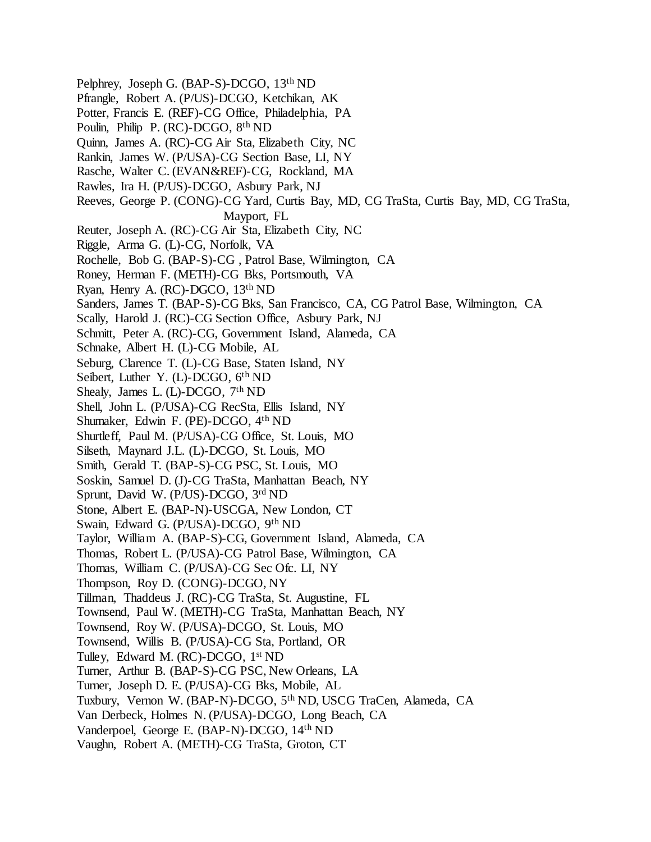Pelphrey, Joseph G. (BAP-S)-DCGO, 13th ND Pfrangle, Robert A. (P/US)-DCGO, Ketchikan, AK Potter, Francis E. (REF)-CG Office, Philadelphia, PA Poulin, Philip P. (RC)-DCGO, 8th ND Quinn, James A. (RC)-CG Air Sta, Elizabeth City, NC Rankin, James W. (P/USA)-CG Section Base, LI, NY Rasche, Walter C. (EVAN&REF)-CG, Rockland, MA Rawles, Ira H. (P/US)-DCGO, Asbury Park, NJ Reeves, George P. (CONG)-CG Yard, Curtis Bay, MD, CG TraSta, Curtis Bay, MD, CG TraSta, Mayport, FL Reuter, Joseph A. (RC)-CG Air Sta, Elizabeth City, NC Riggle, Arma G. (L)-CG, Norfolk, VA Rochelle, Bob G. (BAP-S)-CG , Patrol Base, Wilmington, CA Roney, Herman F. (METH)-CG Bks, Portsmouth, VA Ryan, Henry A. (RC)-DGCO, 13th ND Sanders, James T. (BAP-S)-CG Bks, San Francisco, CA, CG Patrol Base, Wilmington, CA Scally, Harold J. (RC)-CG Section Office, Asbury Park, NJ Schmitt, Peter A. (RC)-CG, Government Island, Alameda, CA Schnake, Albert H. (L)-CG Mobile, AL Seburg, Clarence T. (L)-CG Base, Staten Island, NY Seibert, Luther Y. (L)-DCGO,  $6<sup>th</sup> ND$ Shealy, James L. (L)-DCGO,  $7<sup>th</sup> ND$ Shell, John L. (P/USA)-CG RecSta, Ellis Island, NY Shumaker, Edwin F. (PE)-DCGO, 4th ND Shurtleff, Paul M. (P/USA)-CG Office, St. Louis, MO Silseth, Maynard J.L. (L)-DCGO, St. Louis, MO Smith, Gerald T. (BAP-S)-CG PSC, St. Louis, MO Soskin, Samuel D. (J)-CG TraSta, Manhattan Beach, NY Sprunt, David W. (P/US)-DCGO, 3rd ND Stone, Albert E. (BAP-N)-USCGA, New London, CT Swain, Edward G. (P/USA)-DCGO, 9th ND Taylor, William A. (BAP-S)-CG, Government Island, Alameda, CA Thomas, Robert L. (P/USA)-CG Patrol Base, Wilmington, CA Thomas, William C. (P/USA)-CG Sec Ofc. LI, NY Thompson, Roy D. (CONG)-DCGO, NY Tillman, Thaddeus J. (RC)-CG TraSta, St. Augustine, FL Townsend, Paul W. (METH)-CG TraSta, Manhattan Beach, NY Townsend, Roy W. (P/USA)-DCGO, St. Louis, MO Townsend, Willis B. (P/USA)-CG Sta, Portland, OR Tulley, Edward M. (RC)-DCGO, 1<sup>st</sup> ND Turner, Arthur B. (BAP-S)-CG PSC, New Orleans, LA Turner, Joseph D. E. (P/USA)-CG Bks, Mobile, AL Tuxbury, Vernon W. (BAP-N)-DCGO, 5th ND, USCG TraCen, Alameda, CA Van Derbeck, Holmes N. (P/USA)-DCGO, Long Beach, CA Vanderpoel, George E. (BAP-N)-DCGO, 14th ND Vaughn, Robert A. (METH)-CG TraSta, Groton, CT